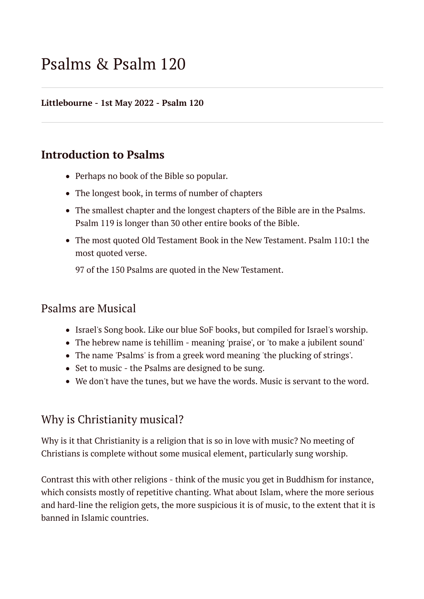#### **Littlebourne - 1st May 2022 - Psalm 120**

## **Introduction to Psalms**

- Perhaps no book of the Bible so popular.
- The longest book, in terms of number of chapters
- The smallest chapter and the longest chapters of the Bible are in the Psalms. Psalm 119 is longer than 30 other entire books of the Bible.
- The most quoted Old Testament Book in the New Testament. Psalm 110:1 the most quoted verse.

97 of the 150 Psalms are quoted in the New Testament.

### Psalms are Musical

- Israel's Song book. Like our blue SoF books, but compiled for Israel's worship.
- The hebrew name is tehillim meaning 'praise', or 'to make a jubilent sound'
- The name 'Psalms' is from a greek word meaning 'the plucking of strings'.
- Set to music the Psalms are designed to be sung.
- We don't have the tunes, but we have the words. Music is servant to the word.

# Why is Christianity musical?

Why is it that Christianity is a religion that is so in love with music? No meeting of Christians is complete without some musical element, particularly sung worship.

Contrast this with other religions - think of the music you get in Buddhism for instance, which consists mostly of repetitive chanting. What about Islam, where the more serious and hard-line the religion gets, the more suspicious it is of music, to the extent that it is banned in Islamic countries.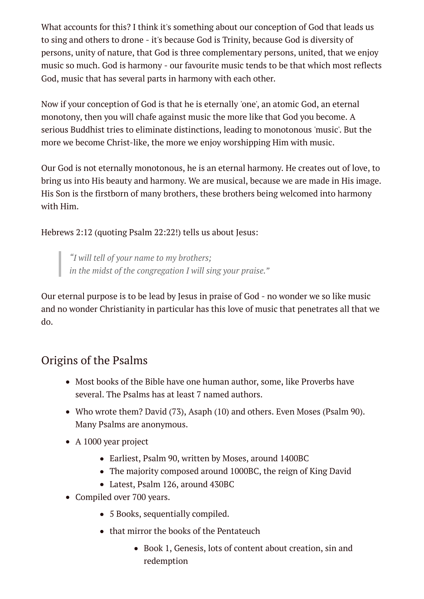What accounts for this? I think it's something about our conception of God that leads us to sing and others to drone - it's because God is Trinity, because God is diversity of persons, unity of nature, that God is three complementary persons, united, that we enjoy music so much. God is harmony - our favourite music tends to be that which most reflects God, music that has several parts in harmony with each other.

Now if your conception of God is that he is eternally 'one', an atomic God, an eternal monotony, then you will chafe against music the more like that God you become. A serious Buddhist tries to eliminate distinctions, leading to monotonous 'music'. But the more we become Christ-like, the more we enjoy worshipping Him with music.

Our God is not eternally monotonous, he is an eternal harmony. He creates out of love, to bring us into His beauty and harmony. We are musical, because we are made in His image. His Son is the firstborn of many brothers, these brothers being welcomed into harmony with Him.

Hebrews 2:12 (quoting Psalm 22:22!) tells us about Jesus:

*"I will tell of your name to my brothers; in the midst of the congregation I will sing your praise."*

Our eternal purpose is to be lead by Jesus in praise of God - no wonder we so like music and no wonder Christianity in particular has this love of music that penetrates all that we do.

# Origins of the Psalms

- Most books of the Bible have one human author, some, like Proverbs have several. The Psalms has at least 7 named authors.
- Who wrote them? David (73), Asaph (10) and others. Even Moses (Psalm 90). Many Psalms are anonymous.
- A 1000 year project
	- Earliest, Psalm 90, written by Moses, around 1400BC
	- The majority composed around 1000BC, the reign of King David
	- Latest, Psalm 126, around 430BC
- Compiled over 700 years.
	- 5 Books, sequentially compiled.
	- that mirror the books of the Pentateuch
		- Book 1, Genesis, lots of content about creation, sin and redemption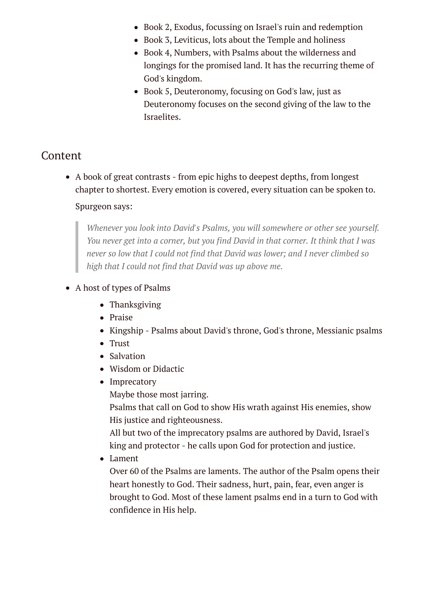- Book 2, Exodus, focussing on Israel's ruin and redemption
- Book 3, Leviticus, lots about the Temple and holiness
- Book 4, Numbers, with Psalms about the wilderness and longings for the promised land. It has the recurring theme of God's kingdom.
- Book 5, Deuteronomy, focusing on God's law, just as Deuteronomy focuses on the second giving of the law to the Israelites.

# Content

A book of great contrasts - from epic highs to deepest depths, from longest chapter to shortest. Every emotion is covered, every situation can be spoken to.

#### Spurgeon says:

*Whenever you look into David's Psalms, you will somewhere or other see yourself. You never get into a corner, but you find David in that corner. It think that I was never so low that I could not find that David was lower; and I never climbed so high that I could not find that David was up above me.*

#### A host of types of Psalms

- Thanksgiving
- Praise
- Kingship Psalms about David's throne, God's throne, Messianic psalms
- Trust
- Salvation
- Wisdom or Didactic
- Imprecatory

Maybe those most jarring.

Psalms that call on God to show His wrath against His enemies, show His justice and righteousness.

All but two of the imprecatory psalms are authored by David, Israel's king and protector - he calls upon God for protection and justice.

Lament

Over 60 of the Psalms are laments. The author of the Psalm opens their heart honestly to God. Their sadness, hurt, pain, fear, even anger is brought to God. Most of these lament psalms end in a turn to God with confidence in His help.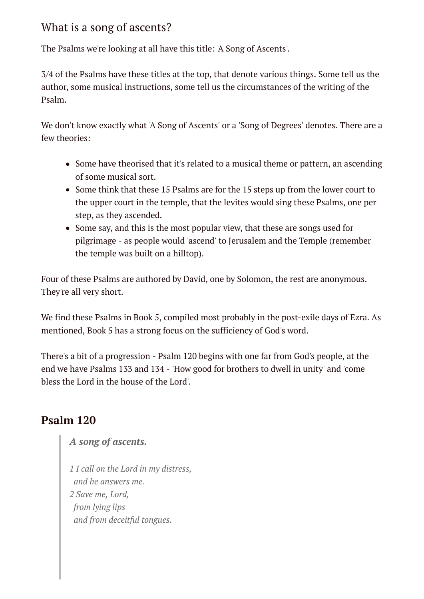# What is a song of ascents?

The Psalms we're looking at all have this title: 'A Song of Ascents'.

3/4 of the Psalms have these titles at the top, that denote various things. Some tell us the author, some musical instructions, some tell us the circumstances of the writing of the Psalm.

We don't know exactly what 'A Song of Ascents' or a 'Song of Degrees' denotes. There are a few theories:

- Some have theorised that it's related to a musical theme or pattern, an ascending of some musical sort.
- Some think that these 15 Psalms are for the 15 steps up from the lower court to the upper court in the temple, that the levites would sing these Psalms, one per step, as they ascended.
- Some say, and this is the most popular view, that these are songs used for pilgrimage - as people would 'ascend' to Jerusalem and the Temple (remember the temple was built on a hilltop).

Four of these Psalms are authored by David, one by Solomon, the rest are anonymous. They're all very short.

We find these Psalms in Book 5, compiled most probably in the post-exile days of Ezra. As mentioned, Book 5 has a strong focus on the sufficiency of God's word.

There's a bit of a progression - Psalm 120 begins with one far from God's people, at the end we have Psalms 133 and 134 - 'How good for brothers to dwell in unity' and 'come bless the Lord in the house of the Lord'.

# **Psalm 120**

### *A song of ascents.*

*1 I call on the Lord in my distress, and he answers me. 2 Save me, Lord, from lying lips and from deceitful tongues.*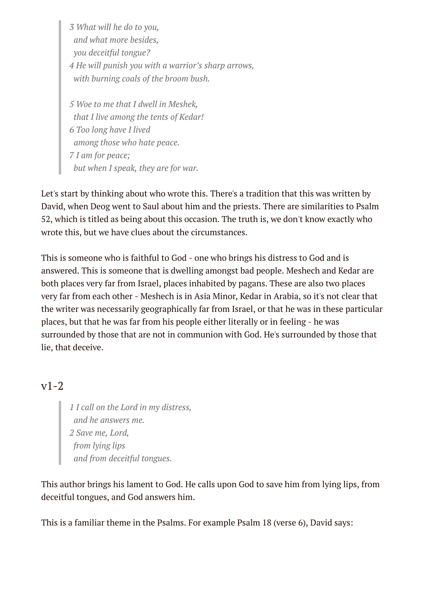*3 What will he do to you, and what more besides, you deceitful tongue? 4 He will punish you with a warrior's sharp arrows, with burning coals of the broom bush.*

*5 Woe to me that I dwell in Meshek, that I live among the tents of Kedar! 6 Too long have I lived among those who hate peace. 7 I am for peace; but when I speak, they are for war.*

Let's start by thinking about who wrote this. There's a tradition that this was written by David, when Deog went to Saul about him and the priests. There are similarities to Psalm 52, which is titled as being about this occasion. The truth is, we don't know exactly who wrote this, but we have clues about the circumstances.

This is someone who is faithful to God - one who brings his distress to God and is answered. This is someone that is dwelling amongst bad people. Meshech and Kedar are both places very far from Israel, places inhabited by pagans. These are also two places very far from each other - Meshech is in Asia Minor, Kedar in Arabia, so it's not clear that the writer was necessarily geographically far from Israel, or that he was in these particular places, but that he was far from his people either literally or in feeling - he was surrounded by those that are not in communion with God. He's surrounded by those that lie, that deceive.

### $v1-2$

*1 I call on the Lord in my distress, and he answers me. 2 Save me, Lord, from lying lips and from deceitful tongues.*

This author brings his lament to God. He calls upon God to save him from lying lips, from deceitful tongues, and God answers him.

This is a familiar theme in the Psalms. For example Psalm 18 (verse 6), David says: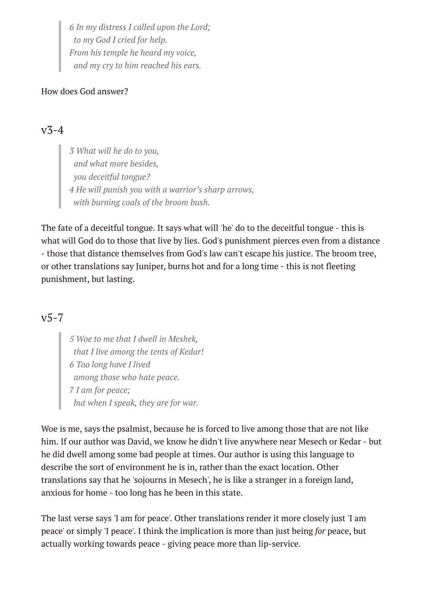*6 In my distress I called upon the Lord; to my God I cried for help. From his temple he heard my voice, and my cry to him reached his ears.*

#### How does God answer?

## $v3-4$

*3 What will he do to you, and what more besides, you deceitful tongue? 4 He will punish you with a warrior's sharp arrows, with burning coals of the broom bush.*

The fate of a deceitful tongue. It says what will 'he' do to the deceitful tongue - this is what will God do to those that live by lies. God's punishment pierces even from a distance - those that distance themselves from God's law can't escape his justice. The broom tree, or other translations say Juniper, burns hot and for a long time - this is not fleeting punishment, but lasting.

### $v5-7$

*5 Woe to me that I dwell in Meshek, that I live among the tents of Kedar! 6 Too long have I lived among those who hate peace. 7 I am for peace; but when I speak, they are for war.*

Woe is me, says the psalmist, because he is forced to live among those that are not like him. If our author was David, we know he didn't live anywhere near Mesech or Kedar - but he did dwell among some bad people at times. Our author is using this language to describe the sort of environment he is in, rather than the exact location. Other translations say that he 'sojourns in Mesech', he is like a stranger in a foreign land, anxious for home - too long has he been in this state.

The last verse says 'I am for peace'. Other translations render it more closely just 'I am peace' or simply 'I peace'. I think the implication is more than just being *for* peace, but actually working towards peace - giving peace more than lip-service.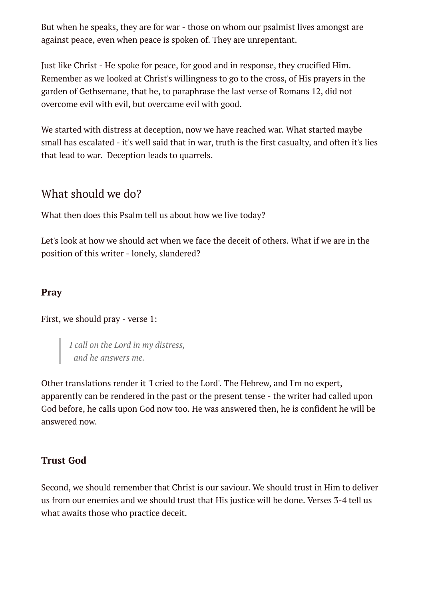But when he speaks, they are for war - those on whom our psalmist lives amongst are against peace, even when peace is spoken of. They are unrepentant.

Just like Christ - He spoke for peace, for good and in response, they crucified Him. Remember as we looked at Christ's willingness to go to the cross, of His prayers in the garden of Gethsemane, that he, to paraphrase the last verse of Romans 12, did not overcome evil with evil, but overcame evil with good.

We started with distress at deception, now we have reached war. What started maybe small has escalated - it's well said that in war, truth is the first casualty, and often it's lies that lead to war. Deception leads to quarrels.

## What should we do?

What then does this Psalm tell us about how we live today?

Let's look at how we should act when we face the deceit of others. What if we are in the position of this writer - lonely, slandered?

#### **Pray**

First, we should pray - verse 1:

*I call on the Lord in my distress, and he answers me.*

Other translations render it 'I cried to the Lord'. The Hebrew, and I'm no expert, apparently can be rendered in the past or the present tense - the writer had called upon God before, he calls upon God now too. He was answered then, he is confident he will be answered now.

#### **Trust God**

Second, we should remember that Christ is our saviour. We should trust in Him to deliver us from our enemies and we should trust that His justice will be done. Verses 3-4 tell us what awaits those who practice deceit.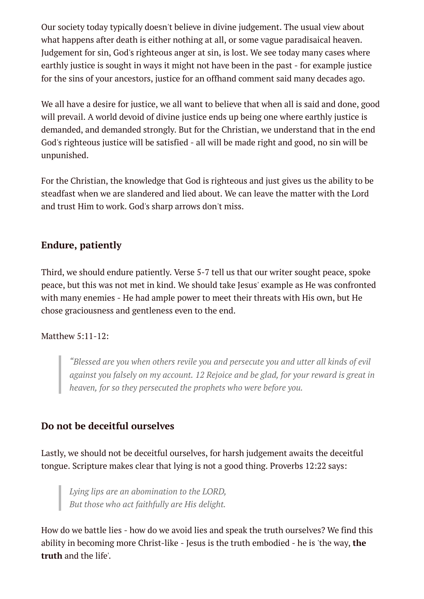Our society today typically doesn't believe in divine judgement. The usual view about what happens after death is either nothing at all, or some vague paradisaical heaven. Judgement for sin, God's righteous anger at sin, is lost. We see today many cases where earthly justice is sought in ways it might not have been in the past - for example justice for the sins of your ancestors, justice for an offhand comment said many decades ago.

We all have a desire for justice, we all want to believe that when all is said and done, good will prevail. A world devoid of divine justice ends up being one where earthly justice is demanded, and demanded strongly. But for the Christian, we understand that in the end God's righteous justice will be satisfied - all will be made right and good, no sin will be unpunished.

For the Christian, the knowledge that God is righteous and just gives us the ability to be steadfast when we are slandered and lied about. We can leave the matter with the Lord and trust Him to work. God's sharp arrows don't miss.

#### **Endure, patiently**

Third, we should endure patiently. Verse 5-7 tell us that our writer sought peace, spoke peace, but this was not met in kind. We should take Jesus' example as He was confronted with many enemies - He had ample power to meet their threats with His own, but He chose graciousness and gentleness even to the end.

#### Matthew 5:11-12:

*"Blessed are you when others revile you and persecute you and utter all kinds of evil against you falsely on my account. 12 Rejoice and be glad, for your reward is great in heaven, for so they persecuted the prophets who were before you.*

#### **Do not be deceitful ourselves**

Lastly, we should not be deceitful ourselves, for harsh judgement awaits the deceitful tongue. Scripture makes clear that lying is not a good thing. Proverbs 12:22 says:

*Lying lips are an abomination to the LORD, But those who act faithfully are His delight.*

How do we battle lies - how do we avoid lies and speak the truth ourselves? We find this ability in becoming more Christ-like - Jesus is the truth embodied - he is 'the way, **the truth** and the life'.